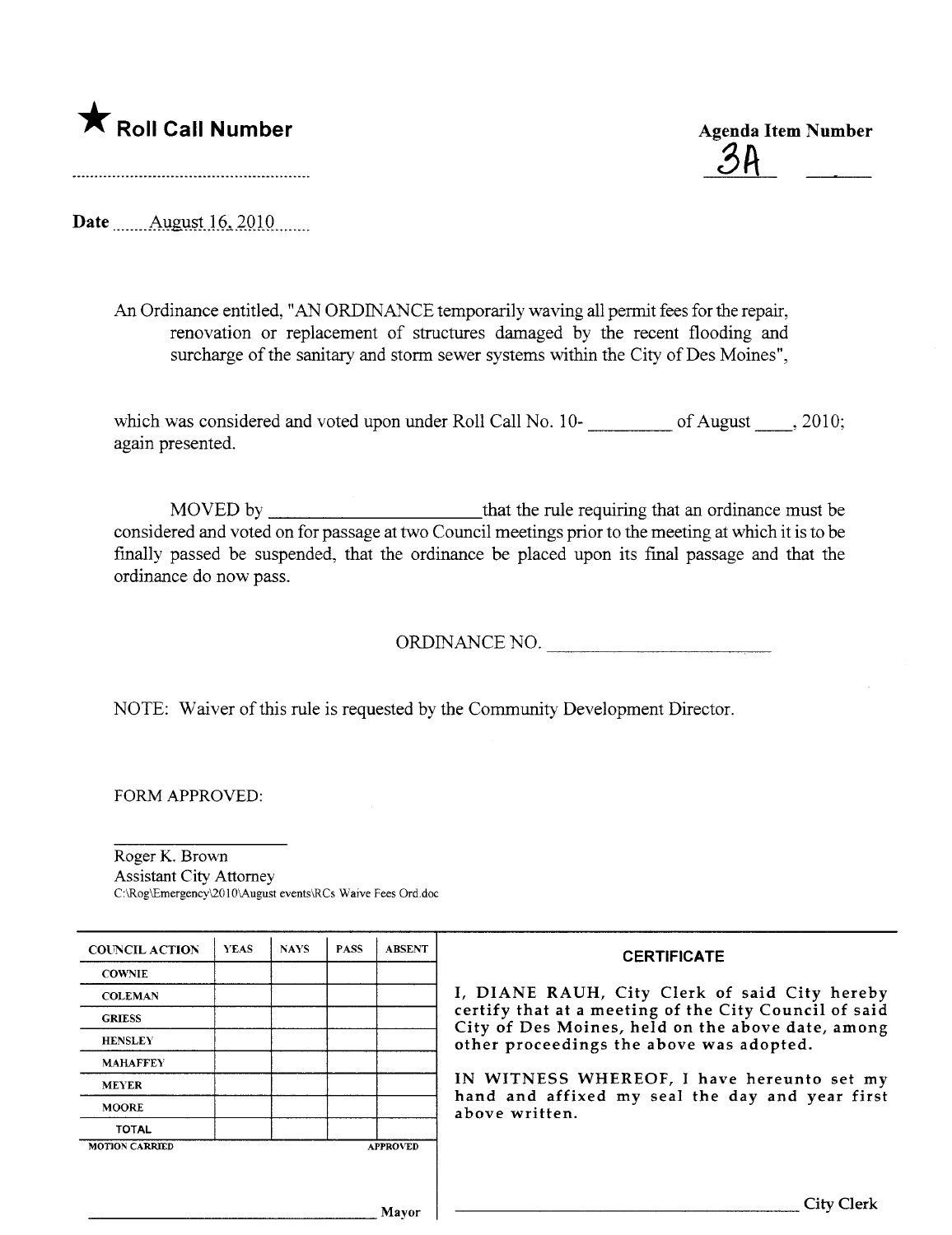

<u>34</u>

Date  $\Delta$ ugust 16, 2010

An Ordinance entitled, "AN ORDINANCE temporarily waving all permit fees for the repair, renovation or replacement of structures damaged by the recent flooding and surcharge of the sanitary and storm sewer systems within the City of Des Moines",

which was considered and voted upon under Roll Call No. 10-<br>
of August 1.1, 2010; again presented.

MOVED by that the rule requiring that an ordinance must be considered and voted on for passage at two Council meetings prior to the meeting at which it is to be finally passed be suspended, that the ordinance be placed upon its final passage and that the ordinance do now pass.

ORDINANCE NO.

NOTE: Waiver of this rule is requested by the Communty Development Director.

FORM APPROVED:

Roger K. Brown Assistant City Attorney C:\Rog\Emergency\201O\August events\RCs Waive Fees Ord.doc

| <b>COUNCIL ACTION</b> | <b>YEAS</b> | <b>NAYS</b> | <b>PASS</b> | <b>ABSENT</b>   | <b>CERTIFICATE</b>                                                                                                                                                                                                                                                                                                         |
|-----------------------|-------------|-------------|-------------|-----------------|----------------------------------------------------------------------------------------------------------------------------------------------------------------------------------------------------------------------------------------------------------------------------------------------------------------------------|
| <b>COWNIE</b>         |             |             |             |                 | I, DIANE RAUH, City Clerk of said City hereby<br>certify that at a meeting of the City Council of said<br>City of Des Moines, held on the above date, among<br>other proceedings the above was adopted.<br>IN WITNESS WHEREOF, I have hereunto set my<br>hand and affixed my seal the day and year first<br>above written. |
| <b>COLEMAN</b>        |             |             |             |                 |                                                                                                                                                                                                                                                                                                                            |
| <b>GRIESS</b>         |             |             |             |                 |                                                                                                                                                                                                                                                                                                                            |
| <b>HENSLEY</b>        |             |             |             |                 |                                                                                                                                                                                                                                                                                                                            |
| <b>MAHAFFEY</b>       |             |             |             |                 |                                                                                                                                                                                                                                                                                                                            |
| <b>MEYER</b>          |             |             |             |                 |                                                                                                                                                                                                                                                                                                                            |
| <b>MOORE</b>          |             |             |             |                 |                                                                                                                                                                                                                                                                                                                            |
| <b>TOTAL</b>          |             |             |             |                 |                                                                                                                                                                                                                                                                                                                            |
| <b>MOTION CARRIED</b> |             |             |             | <b>APPROVED</b> |                                                                                                                                                                                                                                                                                                                            |
|                       |             |             |             |                 |                                                                                                                                                                                                                                                                                                                            |
| Mavor                 |             |             |             |                 | $_{\rm 1tv}$                                                                                                                                                                                                                                                                                                               |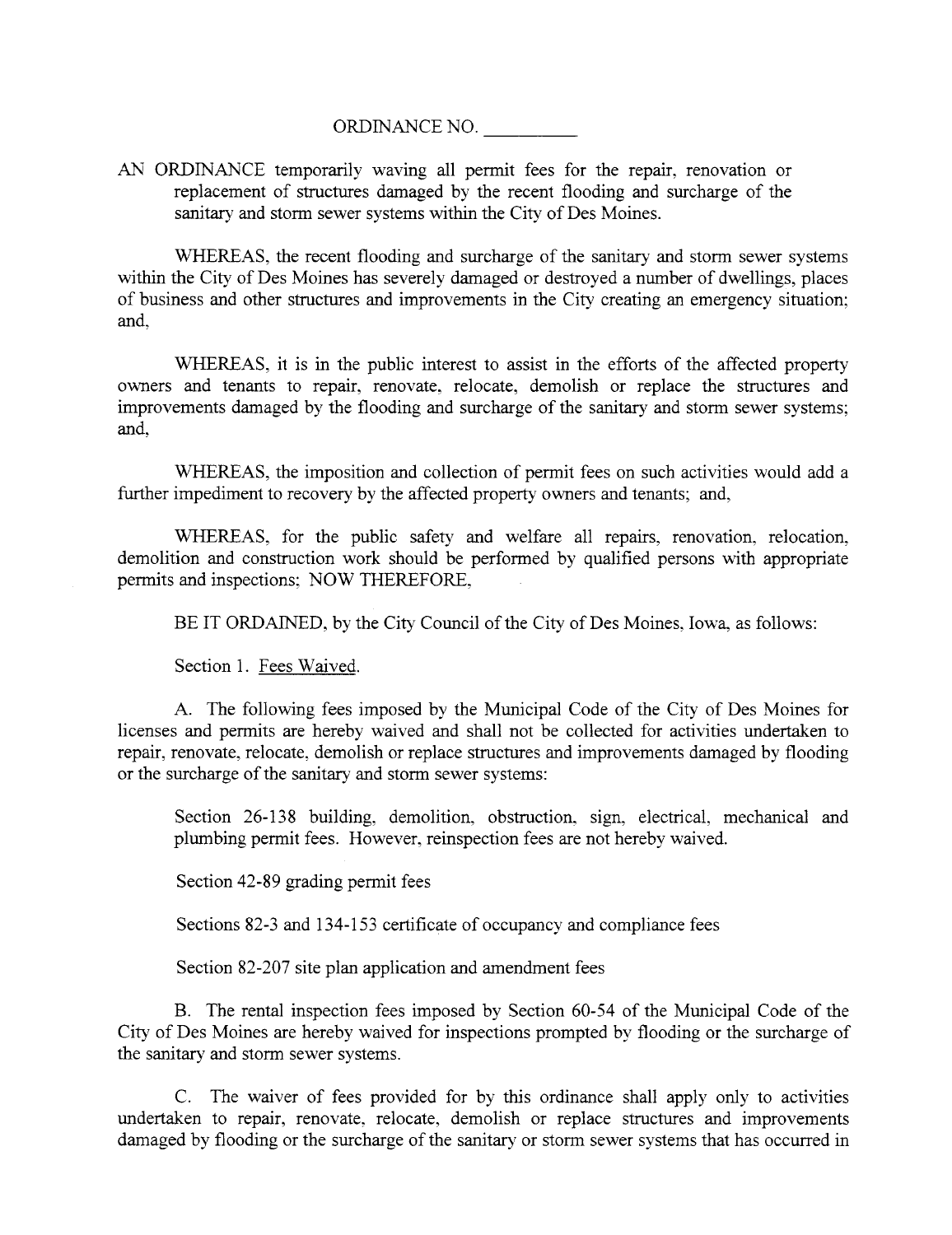ORDINANCE NO.

AN ORDINANCE temporarily waving all permit fees for the repair, renovation or replacement of structures damaged by the recent flooding and surcharge of the sanitary and storm sewer systems within the City of Des Moines.

WHEREAS, the recent flooding and surcharge of the sanitary and storm sewer systems within the City of Des Moines has severely damaged or destroyed a number of dwellings, places of business and other structures and improvements in the City creating an emergency situation; and,

WHEREAS, it is in the public interest to assist in the efforts of the affected property owners and tenants to repair, renovate, relocate, demolish or replace the structues and improvements damaged by the flooding and surcharge of the sanitary and storm sewer systems; and,

WHREAS, the imposition and collection of permit fees on such activities would add a further impediment to recovery by the affected property owners and tenants; and,

WHEREAS, for the public safety and welfare all repairs, renovation, relocation, demolition and construction work should be performed by qualified persons with appropriate permits and inspections; NOW THEREFORE,

BE IT ORDAINED, by the City Council of the City of Des Moines, Iowa, as follows:

Section 1. Fees Waived.

A. The following fees imposed by the Muncipal Code of the City of Des Moines for licenses and permits are hereby waived and shall not be collected for activities undertaken to repair, renovate, relocate, demolish or replace structues and improvements damaged by flooding or the surcharge of the sanitary and storm sewer systems:

Section 26-138 building, demolition, obstruction, sign, electrical, mechanical and plumbing permit fees. However, reinspection fees are not hereby waived.

Section 42-89 grading permit fees

Sections 82-3 and 134-153 certificate of occupancy and compliance fees

Section 82-207 site plan application and amendment fees

B. The rental inspection fees imposed by Section 60-54 of the Muncipal Code of the City of Des Moines are hereby waived for inspections prompted by flooding or the surcharge of the sanitary and storm sewer systems.

C. The waiver of fees provided for by this ordinance shall apply only to activities undertaken to repair, renovate, relocate, demolish or replace structures and improvements damaged by flooding or the surcharge of the santary or storm sewer systems that has occured in